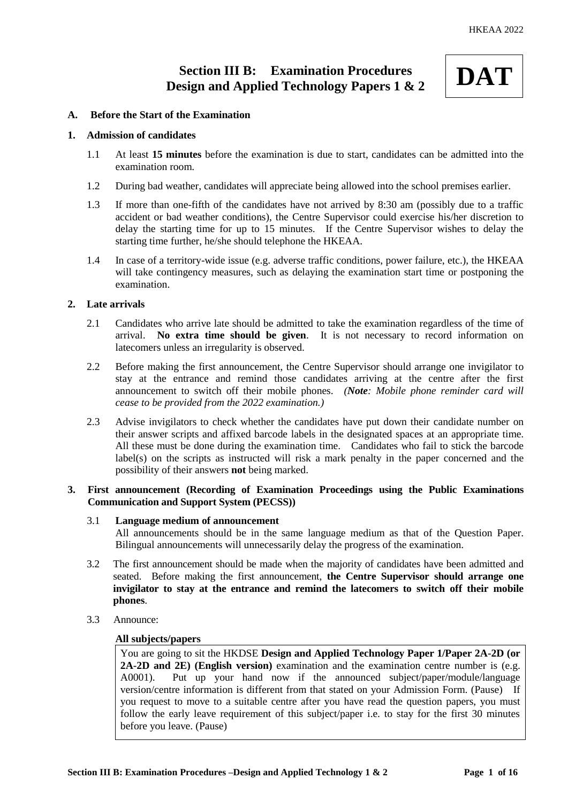# **Section III B: Examination Procedures Design and Applied Technology Papers 1 & 2**

# **DAT**

# **A. Before the Start of the Examination**

# **1. Admission of candidates**

- 1.1 At least **15 minutes** before the examination is due to start, candidates can be admitted into the examination room.
- 1.2 During bad weather, candidates will appreciate being allowed into the school premises earlier.
- 1.3 If more than one-fifth of the candidates have not arrived by 8:30 am (possibly due to a traffic accident or bad weather conditions), the Centre Supervisor could exercise his/her discretion to delay the starting time for up to 15 minutes. If the Centre Supervisor wishes to delay the starting time further, he/she should telephone the HKEAA.
- 1.4 In case of a territory-wide issue (e.g. adverse traffic conditions, power failure, etc.), the HKEAA will take contingency measures, such as delaying the examination start time or postponing the examination.

# **2. Late arrivals**

- 2.1 Candidates who arrive late should be admitted to take the examination regardless of the time of arrival. **No extra time should be given**. It is not necessary to record information on latecomers unless an irregularity is observed.
- 2.2 Before making the first announcement, the Centre Supervisor should arrange one invigilator to stay at the entrance and remind those candidates arriving at the centre after the first announcement to switch off their mobile phones. *(Note: Mobile phone reminder card will cease to be provided from the 2022 examination.)*
- 2.3 Advise invigilators to check whether the candidates have put down their candidate number on their answer scripts and affixed barcode labels in the designated spaces at an appropriate time. All these must be done during the examination time. Candidates who fail to stick the barcode label(s) on the scripts as instructed will risk a mark penalty in the paper concerned and the possibility of their answers **not** being marked.

# **3. First announcement (Recording of Examination Proceedings using the Public Examinations Communication and Support System (PECSS))**

# 3.1 **Language medium of announcement**

All announcements should be in the same language medium as that of the Question Paper. Bilingual announcements will unnecessarily delay the progress of the examination.

- 3.2 The first announcement should be made when the majority of candidates have been admitted and seated. Before making the first announcement, **the Centre Supervisor should arrange one invigilator to stay at the entrance and remind the latecomers to switch off their mobile phones**.
- 3.3 Announce:

# **All subjects/papers**

You are going to sit the HKDSE **Design and Applied Technology Paper 1/Paper 2A-2D (or 2A-2D and 2E) (English version)** examination and the examination centre number is (e.g. A0001). Put up your hand now if the announced subject/paper/module/language version/centre information is different from that stated on your Admission Form. (Pause) If you request to move to a suitable centre after you have read the question papers, you must follow the early leave requirement of this subject/paper i.e. to stay for the first 30 minutes before you leave. (Pause)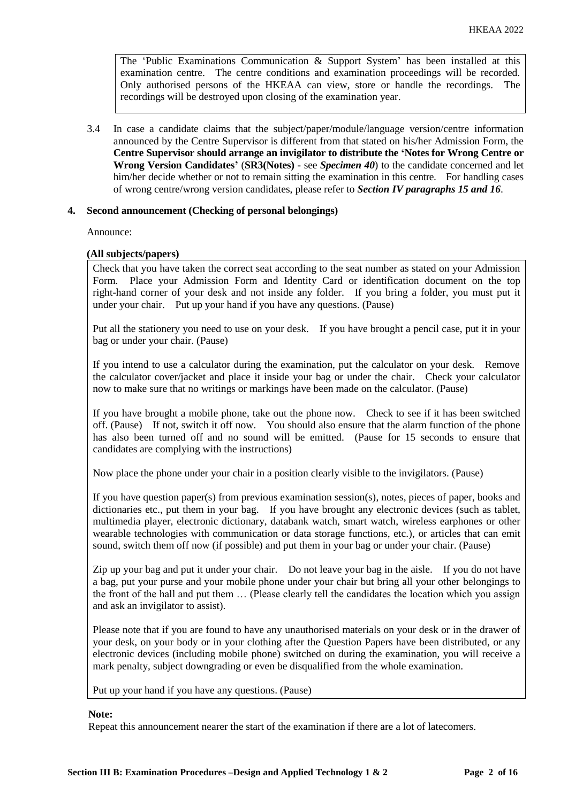The 'Public Examinations Communication  $\&$  Support System' has been installed at this examination centre. The centre conditions and examination proceedings will be recorded. Only authorised persons of the HKEAA can view, store or handle the recordings. The recordings will be destroyed upon closing of the examination year.

3.4 In case a candidate claims that the subject/paper/module/language version/centre information announced by the Centre Supervisor is different from that stated on his/her Admission Form, the **Centre Supervisor should arrange an invigilator to distribute the 'Notes for Wrong Centre or Wrong Version Candidates'** (**SR3(Notes) -** see *Specimen 40*) to the candidate concerned and let him/her decide whether or not to remain sitting the examination in this centre. For handling cases of wrong centre/wrong version candidates, please refer to *Section IV paragraphs 15 and 16*.

# **4. Second announcement (Checking of personal belongings)**

Announce:

# **(All subjects/papers)**

Check that you have taken the correct seat according to the seat number as stated on your Admission Form. Place your Admission Form and Identity Card or identification document on the top right-hand corner of your desk and not inside any folder. If you bring a folder, you must put it under your chair. Put up your hand if you have any questions. (Pause)

Put all the stationery you need to use on your desk. If you have brought a pencil case, put it in your bag or under your chair. (Pause)

If you intend to use a calculator during the examination, put the calculator on your desk. Remove the calculator cover/jacket and place it inside your bag or under the chair. Check your calculator now to make sure that no writings or markings have been made on the calculator. (Pause)

If you have brought a mobile phone, take out the phone now. Check to see if it has been switched off. (Pause) If not, switch it off now. You should also ensure that the alarm function of the phone has also been turned off and no sound will be emitted. (Pause for 15 seconds to ensure that candidates are complying with the instructions)

Now place the phone under your chair in a position clearly visible to the invigilators. (Pause)

If you have question paper(s) from previous examination session(s), notes, pieces of paper, books and dictionaries etc., put them in your bag. If you have brought any electronic devices (such as tablet, multimedia player, electronic dictionary, databank watch, smart watch, wireless earphones or other wearable technologies with communication or data storage functions, etc.), or articles that can emit sound, switch them off now (if possible) and put them in your bag or under your chair. (Pause)

Zip up your bag and put it under your chair. Do not leave your bag in the aisle. If you do not have a bag, put your purse and your mobile phone under your chair but bring all your other belongings to the front of the hall and put them … (Please clearly tell the candidates the location which you assign and ask an invigilator to assist).

Please note that if you are found to have any unauthorised materials on your desk or in the drawer of your desk, on your body or in your clothing after the Question Papers have been distributed, or any electronic devices (including mobile phone) switched on during the examination, you will receive a mark penalty, subject downgrading or even be disqualified from the whole examination.

Put up your hand if you have any questions. (Pause)

#### **Note:**

Repeat this announcement nearer the start of the examination if there are a lot of latecomers.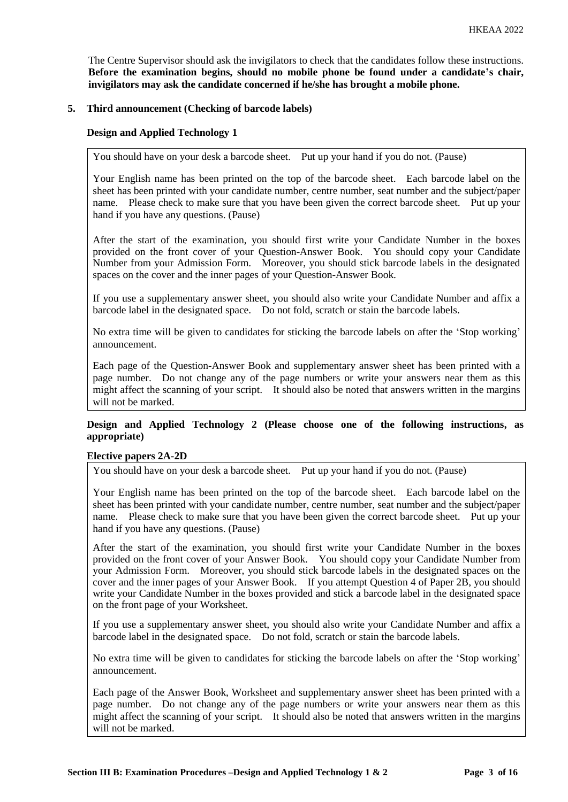The Centre Supervisor should ask the invigilators to check that the candidates follow these instructions. **Before the examination begins, should no mobile phone be found under a candidate's chair, invigilators may ask the candidate concerned if he/she has brought a mobile phone.**

# **5. Third announcement (Checking of barcode labels)**

# **Design and Applied Technology 1**

You should have on your desk a barcode sheet. Put up your hand if you do not. (Pause)

Your English name has been printed on the top of the barcode sheet. Each barcode label on the sheet has been printed with your candidate number, centre number, seat number and the subject/paper name. Please check to make sure that you have been given the correct barcode sheet. Put up your hand if you have any questions. (Pause)

After the start of the examination, you should first write your Candidate Number in the boxes provided on the front cover of your Question-Answer Book. You should copy your Candidate Number from your Admission Form. Moreover, you should stick barcode labels in the designated spaces on the cover and the inner pages of your Question-Answer Book.

If you use a supplementary answer sheet, you should also write your Candidate Number and affix a barcode label in the designated space. Do not fold, scratch or stain the barcode labels.

No extra time will be given to candidates for sticking the barcode labels on after the 'Stop working' announcement.

Each page of the Question-Answer Book and supplementary answer sheet has been printed with a page number. Do not change any of the page numbers or write your answers near them as this might affect the scanning of your script. It should also be noted that answers written in the margins will not be marked.

# **Design and Applied Technology 2 (Please choose one of the following instructions, as appropriate)**

#### **Elective papers 2A-2D**

You should have on your desk a barcode sheet. Put up your hand if you do not. (Pause)

Your English name has been printed on the top of the barcode sheet. Each barcode label on the sheet has been printed with your candidate number, centre number, seat number and the subject/paper name. Please check to make sure that you have been given the correct barcode sheet. Put up your hand if you have any questions. (Pause)

After the start of the examination, you should first write your Candidate Number in the boxes provided on the front cover of your Answer Book. You should copy your Candidate Number from your Admission Form. Moreover, you should stick barcode labels in the designated spaces on the cover and the inner pages of your Answer Book. If you attempt Question 4 of Paper 2B, you should write your Candidate Number in the boxes provided and stick a barcode label in the designated space on the front page of your Worksheet.

If you use a supplementary answer sheet, you should also write your Candidate Number and affix a barcode label in the designated space. Do not fold, scratch or stain the barcode labels.

No extra time will be given to candidates for sticking the barcode labels on after the 'Stop working' announcement.

Each page of the Answer Book, Worksheet and supplementary answer sheet has been printed with a page number. Do not change any of the page numbers or write your answers near them as this might affect the scanning of your script. It should also be noted that answers written in the margins will not be marked.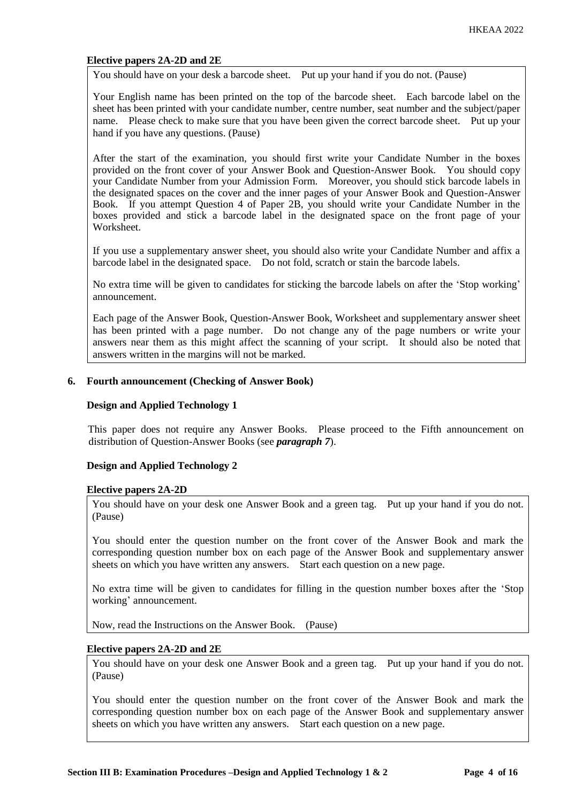# **Elective papers 2A-2D and 2E**

You should have on your desk a barcode sheet. Put up your hand if you do not. (Pause)

Your English name has been printed on the top of the barcode sheet. Each barcode label on the sheet has been printed with your candidate number, centre number, seat number and the subject/paper name. Please check to make sure that you have been given the correct barcode sheet. Put up your hand if you have any questions. (Pause)

After the start of the examination, you should first write your Candidate Number in the boxes provided on the front cover of your Answer Book and Question-Answer Book. You should copy your Candidate Number from your Admission Form. Moreover, you should stick barcode labels in the designated spaces on the cover and the inner pages of your Answer Book and Question-Answer Book. If you attempt Question 4 of Paper 2B, you should write your Candidate Number in the boxes provided and stick a barcode label in the designated space on the front page of your Worksheet.

If you use a supplementary answer sheet, you should also write your Candidate Number and affix a barcode label in the designated space. Do not fold, scratch or stain the barcode labels.

No extra time will be given to candidates for sticking the barcode labels on after the 'Stop working' announcement.

Each page of the Answer Book, Question-Answer Book, Worksheet and supplementary answer sheet has been printed with a page number. Do not change any of the page numbers or write your answers near them as this might affect the scanning of your script. It should also be noted that answers written in the margins will not be marked.

# **6. Fourth announcement (Checking of Answer Book)**

# **Design and Applied Technology 1**

This paper does not require any Answer Books. Please proceed to the Fifth announcement on distribution of Question-Answer Books (see *paragraph 7*).

# **Design and Applied Technology 2**

#### **Elective papers 2A-2D**

You should have on your desk one Answer Book and a green tag. Put up your hand if you do not. (Pause)

You should enter the question number on the front cover of the Answer Book and mark the corresponding question number box on each page of the Answer Book and supplementary answer sheets on which you have written any answers. Start each question on a new page.

No extra time will be given to candidates for filling in the question number boxes after the 'Stop working' announcement.

Now, read the Instructions on the Answer Book. (Pause)

# **Elective papers 2A-2D and 2E**

You should have on your desk one Answer Book and a green tag. Put up your hand if you do not. (Pause)

You should enter the question number on the front cover of the Answer Book and mark the corresponding question number box on each page of the Answer Book and supplementary answer sheets on which you have written any answers. Start each question on a new page.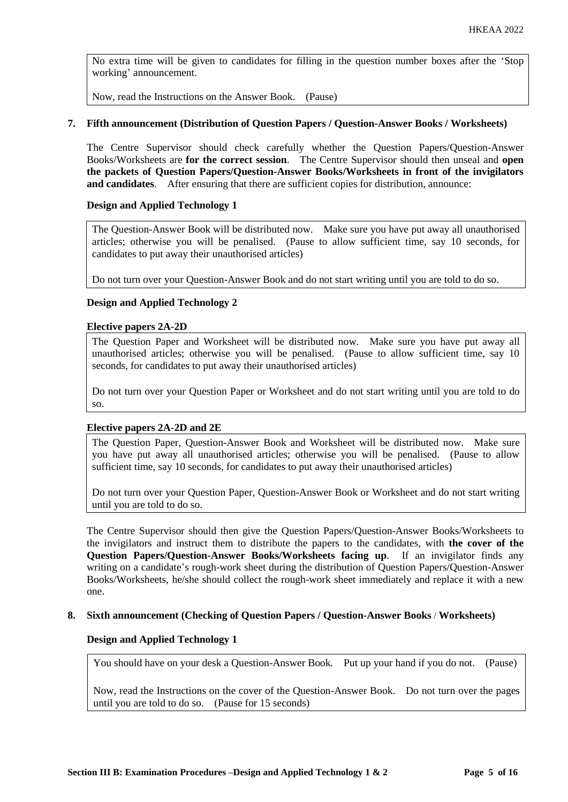No extra time will be given to candidates for filling in the question number boxes after the 'Stop working' announcement.

Now, read the Instructions on the Answer Book. (Pause)

# **7. Fifth announcement (Distribution of Question Papers / Question-Answer Books / Worksheets)**

The Centre Supervisor should check carefully whether the Question Papers/Question-Answer Books/Worksheets are **for the correct session**. The Centre Supervisor should then unseal and **open the packets of Question Papers/Question-Answer Books/Worksheets in front of the invigilators and candidates**. After ensuring that there are sufficient copies for distribution, announce:

## **Design and Applied Technology 1**

The Question-Answer Book will be distributed now. Make sure you have put away all unauthorised articles; otherwise you will be penalised. (Pause to allow sufficient time, say 10 seconds, for candidates to put away their unauthorised articles)

Do not turn over your Question-Answer Book and do not start writing until you are told to do so.

## **Design and Applied Technology 2**

## **Elective papers 2A-2D**

The Question Paper and Worksheet will be distributed now. Make sure you have put away all unauthorised articles; otherwise you will be penalised. (Pause to allow sufficient time, say 10 seconds, for candidates to put away their unauthorised articles)

Do not turn over your Question Paper or Worksheet and do not start writing until you are told to do so.

#### **Elective papers 2A-2D and 2E**

The Question Paper, Question-Answer Book and Worksheet will be distributed now. Make sure you have put away all unauthorised articles; otherwise you will be penalised. (Pause to allow sufficient time, say 10 seconds, for candidates to put away their unauthorised articles)

Do not turn over your Question Paper, Question-Answer Book or Worksheet and do not start writing until you are told to do so.

The Centre Supervisor should then give the Question Papers/Question-Answer Books/Worksheets to the invigilators and instruct them to distribute the papers to the candidates, with **the cover of the Question Papers/Question-Answer Books/Worksheets facing up**. If an invigilator finds any writing on a candidate's rough-work sheet during the distribution of Question Papers/Question-Answer Books/Worksheets, he/she should collect the rough-work sheet immediately and replace it with a new one.

# **8. Sixth announcement (Checking of Question Papers / Question-Answer Books** / **Worksheets)**

#### **Design and Applied Technology 1**

You should have on your desk a Question-Answer Book. Put up your hand if you do not. (Pause)

Now, read the Instructions on the cover of the Question-Answer Book. Do not turn over the pages until you are told to do so. (Pause for 15 seconds)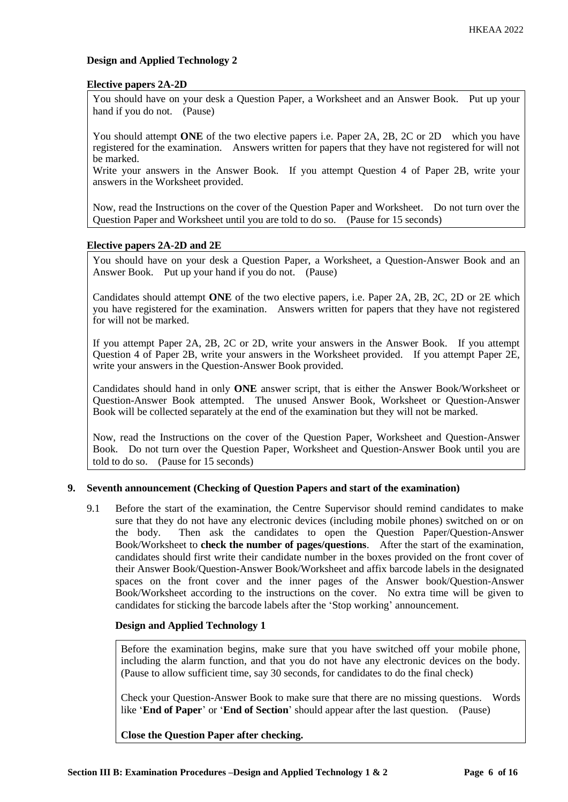# **Design and Applied Technology 2**

## **Elective papers 2A-2D**

You should have on your desk a Question Paper, a Worksheet and an Answer Book. Put up your hand if you do not. (Pause)

You should attempt **ONE** of the two elective papers i.e. Paper 2A, 2B, 2C or 2D which you have registered for the examination. Answers written for papers that they have not registered for will not be marked.

Write your answers in the Answer Book. If you attempt Question 4 of Paper 2B, write your answers in the Worksheet provided.

Now, read the Instructions on the cover of the Question Paper and Worksheet. Do not turn over the Question Paper and Worksheet until you are told to do so. (Pause for 15 seconds)

## **Elective papers 2A-2D and 2E**

You should have on your desk a Question Paper, a Worksheet, a Question-Answer Book and an Answer Book. Put up your hand if you do not. (Pause)

Candidates should attempt **ONE** of the two elective papers, i.e. Paper 2A, 2B, 2C, 2D or 2E which you have registered for the examination. Answers written for papers that they have not registered for will not be marked.

If you attempt Paper 2A, 2B, 2C or 2D, write your answers in the Answer Book. If you attempt Question 4 of Paper 2B, write your answers in the Worksheet provided. If you attempt Paper 2E, write your answers in the Question-Answer Book provided.

Candidates should hand in only **ONE** answer script, that is either the Answer Book/Worksheet or Question-Answer Book attempted. The unused Answer Book, Worksheet or Question-Answer Book will be collected separately at the end of the examination but they will not be marked.

Now, read the Instructions on the cover of the Question Paper, Worksheet and Question-Answer Book. Do not turn over the Question Paper, Worksheet and Question-Answer Book until you are told to do so. (Pause for 15 seconds)

# **9. Seventh announcement (Checking of Question Papers and start of the examination)**

9.1 Before the start of the examination, the Centre Supervisor should remind candidates to make sure that they do not have any electronic devices (including mobile phones) switched on or on the body. Then ask the candidates to open the Question Paper/Question-Answer Book/Worksheet to **check the number of pages/questions**. After the start of the examination, candidates should first write their candidate number in the boxes provided on the front cover of their Answer Book/Question-Answer Book/Worksheet and affix barcode labels in the designated spaces on the front cover and the inner pages of the Answer book/Question-Answer Book/Worksheet according to the instructions on the cover. No extra time will be given to candidates for sticking the barcode labels after the 'Stop working' announcement.

# **Design and Applied Technology 1**

Before the examination begins, make sure that you have switched off your mobile phone, including the alarm function, and that you do not have any electronic devices on the body. (Pause to allow sufficient time, say 30 seconds, for candidates to do the final check)

Check your Question-Answer Book to make sure that there are no missing questions. Words like '**End of Paper**' or '**End of Section**' should appear after the last question. (Pause)

**Close the Question Paper after checking.**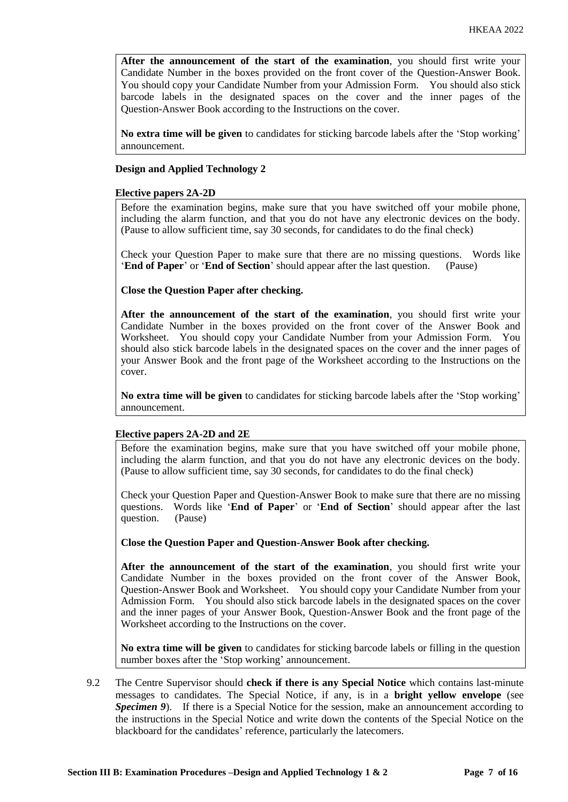**After the announcement of the start of the examination**, you should first write your Candidate Number in the boxes provided on the front cover of the Question-Answer Book. You should copy your Candidate Number from your Admission Form. You should also stick barcode labels in the designated spaces on the cover and the inner pages of the Question-Answer Book according to the Instructions on the cover.

**No extra time will be given** to candidates for sticking barcode labels after the 'Stop working' announcement.

#### **Design and Applied Technology 2**

#### **Elective papers 2A-2D**

Before the examination begins, make sure that you have switched off your mobile phone, including the alarm function, and that you do not have any electronic devices on the body. (Pause to allow sufficient time, say 30 seconds, for candidates to do the final check)

Check your Question Paper to make sure that there are no missing questions. Words like 'End of Paper' or 'End of Section' should appear after the last question. (Pause) '**End of Paper**' or '**End of Section**' should appear after the last question.

## **Close the Question Paper after checking.**

**After the announcement of the start of the examination**, you should first write your Candidate Number in the boxes provided on the front cover of the Answer Book and Worksheet. You should copy your Candidate Number from your Admission Form. You should also stick barcode labels in the designated spaces on the cover and the inner pages of your Answer Book and the front page of the Worksheet according to the Instructions on the cover.

**No extra time will be given** to candidates for sticking barcode labels after the 'Stop working' announcement.

# **Elective papers 2A-2D and 2E**

Before the examination begins, make sure that you have switched off your mobile phone, including the alarm function, and that you do not have any electronic devices on the body. (Pause to allow sufficient time, say 30 seconds, for candidates to do the final check)

Check your Question Paper and Question-Answer Book to make sure that there are no missing questions. Words like '**End of Paper**' or '**End of Section**' should appear after the last question. (Pause)

**Close the Question Paper and Question-Answer Book after checking.**

**After the announcement of the start of the examination**, you should first write your Candidate Number in the boxes provided on the front cover of the Answer Book, Question-Answer Book and Worksheet. You should copy your Candidate Number from your Admission Form. You should also stick barcode labels in the designated spaces on the cover and the inner pages of your Answer Book, Question-Answer Book and the front page of the Worksheet according to the Instructions on the cover.

**No extra time will be given** to candidates for sticking barcode labels or filling in the question number boxes after the 'Stop working' announcement.

9.2 The Centre Supervisor should **check if there is any Special Notice** which contains last-minute messages to candidates. The Special Notice, if any, is in a **bright yellow envelope** (see *Specimen 9*). If there is a Special Notice for the session, make an announcement according to the instructions in the Special Notice and write down the contents of the Special Notice on the blackboard for the candidates' reference, particularly the latecomers.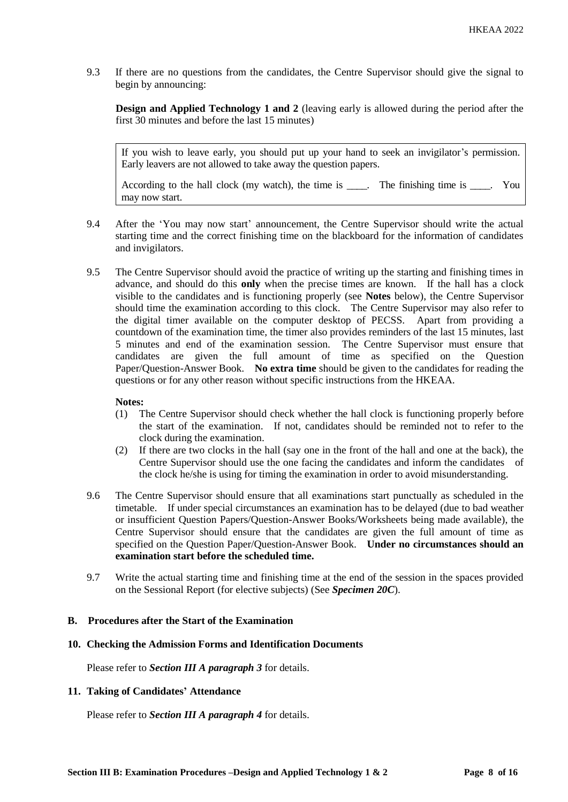9.3 If there are no questions from the candidates, the Centre Supervisor should give the signal to begin by announcing:

**Design and Applied Technology 1 and 2** (leaving early is allowed during the period after the first 30 minutes and before the last 15 minutes)

If you wish to leave early, you should put up your hand to seek an invigilator's permission. Early leavers are not allowed to take away the question papers.

According to the hall clock (my watch), the time is \_\_\_\_. The finishing time is \_\_\_\_. You may now start.

- 9.4 After the 'You may now start' announcement, the Centre Supervisor should write the actual starting time and the correct finishing time on the blackboard for the information of candidates and invigilators.
- 9.5 The Centre Supervisor should avoid the practice of writing up the starting and finishing times in advance, and should do this **only** when the precise times are known. If the hall has a clock visible to the candidates and is functioning properly (see **Notes** below), the Centre Supervisor should time the examination according to this clock. The Centre Supervisor may also refer to the digital timer available on the computer desktop of PECSS. Apart from providing a countdown of the examination time, the timer also provides reminders of the last 15 minutes, last 5 minutes and end of the examination session. The Centre Supervisor must ensure that candidates are given the full amount of time as specified on the Question Paper/Question-Answer Book. **No extra time** should be given to the candidates for reading the questions or for any other reason without specific instructions from the HKEAA.

# **Notes:**

- (1) The Centre Supervisor should check whether the hall clock is functioning properly before the start of the examination. If not, candidates should be reminded not to refer to the clock during the examination.
- (2) If there are two clocks in the hall (say one in the front of the hall and one at the back), the Centre Supervisor should use the one facing the candidates and inform the candidates of the clock he/she is using for timing the examination in order to avoid misunderstanding.
- 9.6 The Centre Supervisor should ensure that all examinations start punctually as scheduled in the timetable. If under special circumstances an examination has to be delayed (due to bad weather or insufficient Question Papers/Question-Answer Books/Worksheets being made available), the Centre Supervisor should ensure that the candidates are given the full amount of time as specified on the Question Paper/Question-Answer Book. **Under no circumstances should an examination start before the scheduled time.**
- 9.7 Write the actual starting time and finishing time at the end of the session in the spaces provided on the Sessional Report (for elective subjects) (See *Specimen 20C*).

# **B. Procedures after the Start of the Examination**

#### **10. Checking the Admission Forms and Identification Documents**

Please refer to *Section III A paragraph 3* for details.

# **11. Taking of Candidates' Attendance**

Please refer to *Section III A paragraph 4* for details.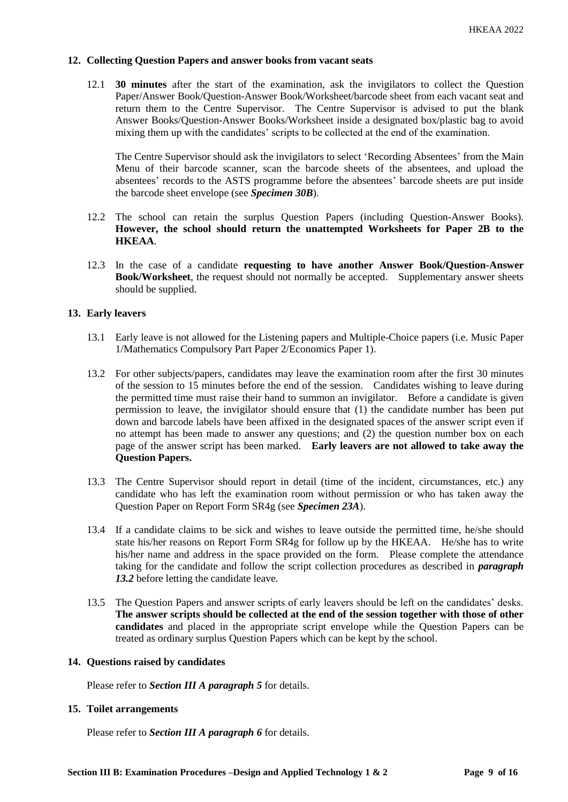# **12. Collecting Question Papers and answer books from vacant seats**

12.1 **30 minutes** after the start of the examination, ask the invigilators to collect the Question Paper/Answer Book/Question-Answer Book/Worksheet/barcode sheet from each vacant seat and return them to the Centre Supervisor. The Centre Supervisor is advised to put the blank Answer Books/Question-Answer Books/Worksheet inside a designated box/plastic bag to avoid mixing them up with the candidates' scripts to be collected at the end of the examination.

The Centre Supervisor should ask the invigilators to select 'Recording Absentees' from the Main Menu of their barcode scanner, scan the barcode sheets of the absentees, and upload the absentees' records to the ASTS programme before the absentees' barcode sheets are put inside the barcode sheet envelope (see *Specimen 30B*).

- 12.2 The school can retain the surplus Question Papers (including Question-Answer Books). **However, the school should return the unattempted Worksheets for Paper 2B to the HKEAA**.
- 12.3 In the case of a candidate **requesting to have another Answer Book/Question-Answer Book/Worksheet**, the request should not normally be accepted. Supplementary answer sheets should be supplied.

## **13. Early leavers**

- 13.1 Early leave is not allowed for the Listening papers and Multiple-Choice papers (i.e. Music Paper 1/Mathematics Compulsory Part Paper 2/Economics Paper 1).
- 13.2 For other subjects/papers, candidates may leave the examination room after the first 30 minutes of the session to 15 minutes before the end of the session. Candidates wishing to leave during the permitted time must raise their hand to summon an invigilator. Before a candidate is given permission to leave, the invigilator should ensure that (1) the candidate number has been put down and barcode labels have been affixed in the designated spaces of the answer script even if no attempt has been made to answer any questions; and (2) the question number box on each page of the answer script has been marked. **Early leavers are not allowed to take away the Question Papers.**
- 13.3 The Centre Supervisor should report in detail (time of the incident, circumstances, etc.) any candidate who has left the examination room without permission or who has taken away the Question Paper on Report Form SR4g (see *Specimen 23A*).
- 13.4 If a candidate claims to be sick and wishes to leave outside the permitted time, he/she should state his/her reasons on Report Form SR4g for follow up by the HKEAA. He/she has to write his/her name and address in the space provided on the form. Please complete the attendance taking for the candidate and follow the script collection procedures as described in *paragraph 13.2* before letting the candidate leave.
- 13.5 The Question Papers and answer scripts of early leavers should be left on the candidates' desks. **The answer scripts should be collected at the end of the session together with those of other candidates** and placed in the appropriate script envelope while the Question Papers can be treated as ordinary surplus Question Papers which can be kept by the school.

#### **14. Questions raised by candidates**

Please refer to *Section III A paragraph 5* for details.

#### **15. Toilet arrangements**

Please refer to *Section III A paragraph 6* for details.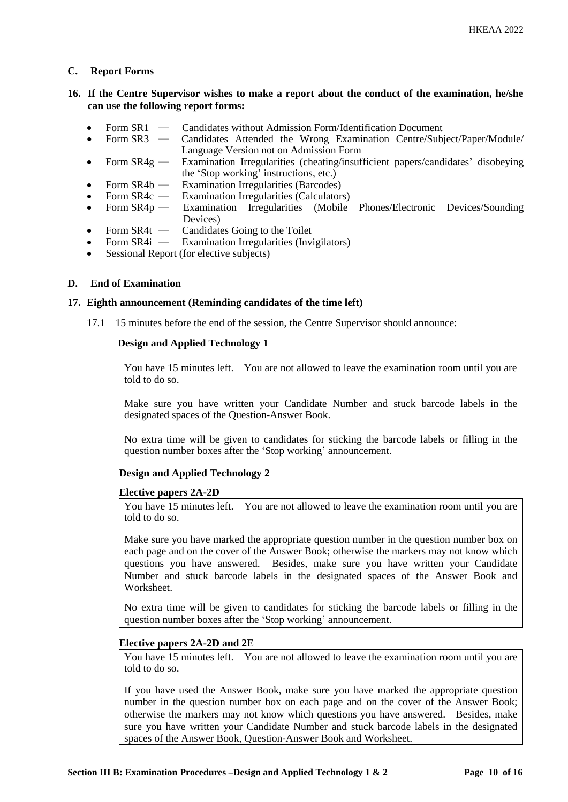**C. Report Forms**

# **16. If the Centre Supervisor wishes to make a report about the conduct of the examination, he/she can use the following report forms:**

- Form SR1 ― Candidates without Admission Form/Identification Document
- Form SR3 Candidates Attended the Wrong Examination Centre/Subject/Paper/Module/ Language Version not on Admission Form
- Form  $SR4g$  Examination Irregularities (cheating/insufficient papers/candidates' disobeying the 'Stop working' instructions, etc.)
- Form SR4b Examination Irregularities (Barcodes)<br>• Form SR4c Examination Irregularities (Calculators
- 
- Form SR4c Examination Irregularities (Calculators)<br>Form SR4p Examination Irregularities (Mobile • Form SR4p — Examination Irregularities (Mobile Phones/Electronic Devices/Sounding Devices)
- Form SR4t Candidates Going to the Toilet<br>• Form SR4i Examination Irregularities (Invi
- Examination Irregularities (Invigilators)
- Sessional Report (for elective subjects)

## **D. End of Examination**

#### **17. Eighth announcement (Reminding candidates of the time left)**

17.1 15 minutes before the end of the session, the Centre Supervisor should announce:

## **Design and Applied Technology 1**

You have 15 minutes left. You are not allowed to leave the examination room until you are told to do so.

Make sure you have written your Candidate Number and stuck barcode labels in the designated spaces of the Question-Answer Book.

No extra time will be given to candidates for sticking the barcode labels or filling in the question number boxes after the 'Stop working' announcement.

#### **Design and Applied Technology 2**

#### **Elective papers 2A-2D**

You have 15 minutes left. You are not allowed to leave the examination room until you are told to do so.

Make sure you have marked the appropriate question number in the question number box on each page and on the cover of the Answer Book; otherwise the markers may not know which questions you have answered. Besides, make sure you have written your Candidate Number and stuck barcode labels in the designated spaces of the Answer Book and Worksheet.

No extra time will be given to candidates for sticking the barcode labels or filling in the question number boxes after the 'Stop working' announcement.

#### **Elective papers 2A-2D and 2E**

You have 15 minutes left. You are not allowed to leave the examination room until you are told to do so.

If you have used the Answer Book, make sure you have marked the appropriate question number in the question number box on each page and on the cover of the Answer Book; otherwise the markers may not know which questions you have answered. Besides, make sure you have written your Candidate Number and stuck barcode labels in the designated spaces of the Answer Book, Question-Answer Book and Worksheet.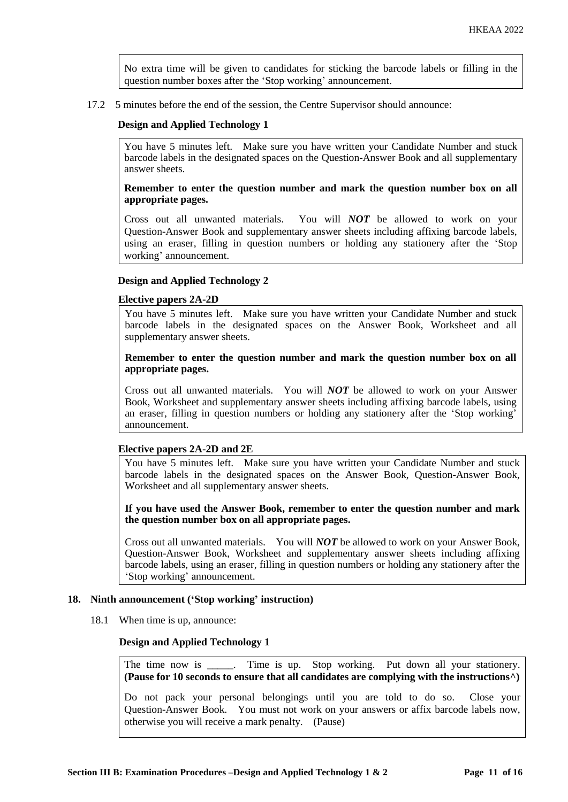No extra time will be given to candidates for sticking the barcode labels or filling in the question number boxes after the 'Stop working' announcement.

17.2 5 minutes before the end of the session, the Centre Supervisor should announce:

#### **Design and Applied Technology 1**

You have 5 minutes left. Make sure you have written your Candidate Number and stuck barcode labels in the designated spaces on the Question-Answer Book and all supplementary answer sheets.

# **Remember to enter the question number and mark the question number box on all appropriate pages.**

Cross out all unwanted materials. You will *NOT* be allowed to work on your Question-Answer Book and supplementary answer sheets including affixing barcode labels, using an eraser, filling in question numbers or holding any stationery after the 'Stop working' announcement.

#### **Design and Applied Technology 2**

#### **Elective papers 2A-2D**

You have 5 minutes left. Make sure you have written your Candidate Number and stuck barcode labels in the designated spaces on the Answer Book, Worksheet and all supplementary answer sheets.

#### **Remember to enter the question number and mark the question number box on all appropriate pages.**

Cross out all unwanted materials. You will *NOT* be allowed to work on your Answer Book, Worksheet and supplementary answer sheets including affixing barcode labels, using an eraser, filling in question numbers or holding any stationery after the 'Stop working' announcement.

#### **Elective papers 2A-2D and 2E**

You have 5 minutes left. Make sure you have written your Candidate Number and stuck barcode labels in the designated spaces on the Answer Book, Question-Answer Book, Worksheet and all supplementary answer sheets.

**If you have used the Answer Book, remember to enter the question number and mark the question number box on all appropriate pages.**

Cross out all unwanted materials. You will *NOT* be allowed to work on your Answer Book, Question-Answer Book, Worksheet and supplementary answer sheets including affixing barcode labels, using an eraser, filling in question numbers or holding any stationery after the 'Stop working' announcement.

#### **18. Ninth announcement ('Stop working' instruction)**

18.1 When time is up, announce:

#### **Design and Applied Technology 1**

The time now is \_\_\_\_\_. Time is up. Stop working. Put down all your stationery. **(Pause for 10 seconds to ensure that all candidates are complying with the instructions^)**

Do not pack your personal belongings until you are told to do so. Close your Question-Answer Book. You must not work on your answers or affix barcode labels now, otherwise you will receive a mark penalty. (Pause)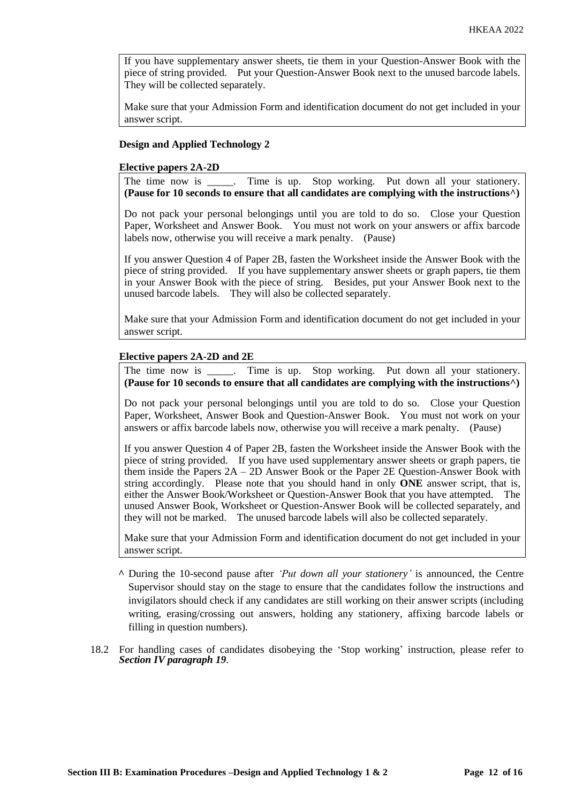If you have supplementary answer sheets, tie them in your Question-Answer Book with the piece of string provided. Put your Question-Answer Book next to the unused barcode labels. They will be collected separately.

Make sure that your Admission Form and identification document do not get included in your answer script.

#### **Design and Applied Technology 2**

#### **Elective papers 2A-2D**

The time now is \_\_\_\_\_. Time is up. Stop working. Put down all your stationery. **(Pause for 10 seconds to ensure that all candidates are complying with the instructions^)**

Do not pack your personal belongings until you are told to do so. Close your Question Paper, Worksheet and Answer Book. You must not work on your answers or affix barcode labels now, otherwise you will receive a mark penalty. (Pause)

If you answer Question 4 of Paper 2B, fasten the Worksheet inside the Answer Book with the piece of string provided. If you have supplementary answer sheets or graph papers, tie them in your Answer Book with the piece of string. Besides, put your Answer Book next to the unused barcode labels. They will also be collected separately.

Make sure that your Admission Form and identification document do not get included in your answer script.

#### **Elective papers 2A-2D and 2E**

The time now is \_\_\_\_. Time is up. Stop working. Put down all your stationery. **(Pause for 10 seconds to ensure that all candidates are complying with the instructions^)**

Do not pack your personal belongings until you are told to do so. Close your Question Paper, Worksheet, Answer Book and Question-Answer Book. You must not work on your answers or affix barcode labels now, otherwise you will receive a mark penalty. (Pause)

If you answer Question 4 of Paper 2B, fasten the Worksheet inside the Answer Book with the piece of string provided. If you have used supplementary answer sheets or graph papers, tie them inside the Papers 2A – 2D Answer Book or the Paper 2E Question-Answer Book with string accordingly. Please note that you should hand in only **ONE** answer script, that is, either the Answer Book/Worksheet or Question-Answer Book that you have attempted. The unused Answer Book, Worksheet or Question-Answer Book will be collected separately, and they will not be marked. The unused barcode labels will also be collected separately.

Make sure that your Admission Form and identification document do not get included in your answer script.

- **^** During the 10-second pause after *'Put down all your stationery'* is announced, the Centre Supervisor should stay on the stage to ensure that the candidates follow the instructions and invigilators should check if any candidates are still working on their answer scripts (including writing, erasing/crossing out answers, holding any stationery, affixing barcode labels or filling in question numbers).
- 18.2 For handling cases of candidates disobeying the 'Stop working' instruction, please refer to *Section IV paragraph 19*.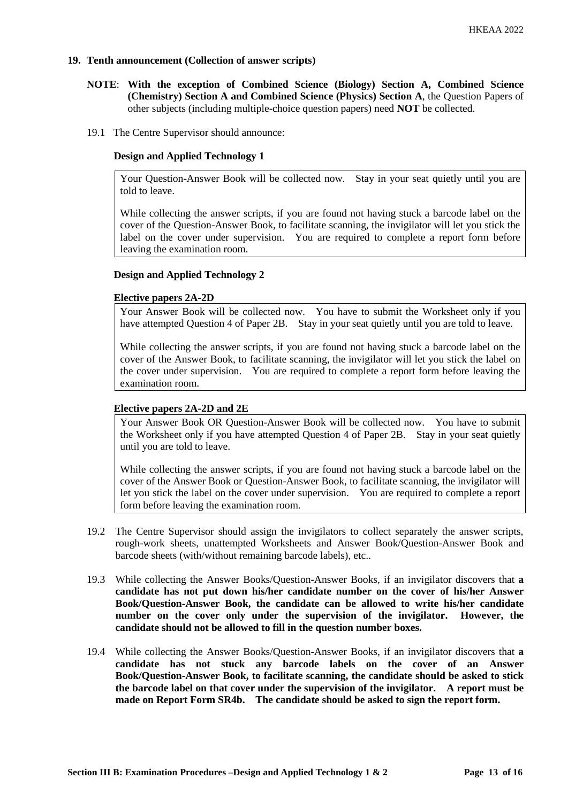# **19. Tenth announcement (Collection of answer scripts)**

- **NOTE**: **With the exception of Combined Science (Biology) Section A, Combined Science (Chemistry) Section A and Combined Science (Physics) Section A**, the Question Papers of other subjects (including multiple-choice question papers) need **NOT** be collected.
- 19.1 The Centre Supervisor should announce:

# **Design and Applied Technology 1**

Your Question-Answer Book will be collected now. Stay in your seat quietly until you are told to leave.

While collecting the answer scripts, if you are found not having stuck a barcode label on the cover of the Question-Answer Book, to facilitate scanning, the invigilator will let you stick the label on the cover under supervision. You are required to complete a report form before leaving the examination room.

## **Design and Applied Technology 2**

## **Elective papers 2A-2D**

Your Answer Book will be collected now. You have to submit the Worksheet only if you have attempted Question 4 of Paper 2B. Stay in your seat quietly until you are told to leave.

While collecting the answer scripts, if you are found not having stuck a barcode label on the cover of the Answer Book, to facilitate scanning, the invigilator will let you stick the label on the cover under supervision. You are required to complete a report form before leaving the examination room.

#### **Elective papers 2A-2D and 2E**

Your Answer Book OR Question-Answer Book will be collected now. You have to submit the Worksheet only if you have attempted Question 4 of Paper 2B. Stay in your seat quietly until you are told to leave.

While collecting the answer scripts, if you are found not having stuck a barcode label on the cover of the Answer Book or Question-Answer Book, to facilitate scanning, the invigilator will let you stick the label on the cover under supervision. You are required to complete a report form before leaving the examination room.

- 19.2 The Centre Supervisor should assign the invigilators to collect separately the answer scripts, rough-work sheets, unattempted Worksheets and Answer Book/Question-Answer Book and barcode sheets (with/without remaining barcode labels), etc..
- 19.3 While collecting the Answer Books/Question-Answer Books, if an invigilator discovers that **a candidate has not put down his/her candidate number on the cover of his/her Answer Book/Question-Answer Book, the candidate can be allowed to write his/her candidate number on the cover only under the supervision of the invigilator. However, the candidate should not be allowed to fill in the question number boxes.**
- 19.4 While collecting the Answer Books/Question-Answer Books, if an invigilator discovers that **a candidate has not stuck any barcode labels on the cover of an Answer Book/Question-Answer Book, to facilitate scanning, the candidate should be asked to stick the barcode label on that cover under the supervision of the invigilator. A report must be made on Report Form SR4b. The candidate should be asked to sign the report form.**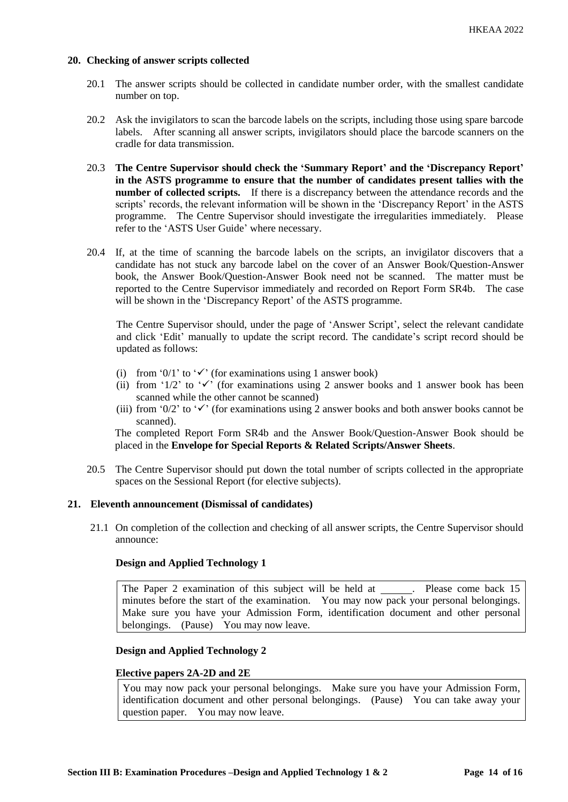# **20. Checking of answer scripts collected**

- 20.1 The answer scripts should be collected in candidate number order, with the smallest candidate number on top.
- 20.2 Ask the invigilators to scan the barcode labels on the scripts, including those using spare barcode labels. After scanning all answer scripts, invigilators should place the barcode scanners on the cradle for data transmission.
- 20.3 **The Centre Supervisor should check the 'Summary Report' and the 'Discrepancy Report' in the ASTS programme to ensure that the number of candidates present tallies with the number of collected scripts.** If there is a discrepancy between the attendance records and the scripts' records, the relevant information will be shown in the 'Discrepancy Report' in the ASTS programme. The Centre Supervisor should investigate the irregularities immediately. Please refer to the 'ASTS User Guide' where necessary.
- 20.4 If, at the time of scanning the barcode labels on the scripts, an invigilator discovers that a candidate has not stuck any barcode label on the cover of an Answer Book/Question-Answer book, the Answer Book/Question-Answer Book need not be scanned. The matter must be reported to the Centre Supervisor immediately and recorded on Report Form SR4b. The case will be shown in the 'Discrepancy Report' of the ASTS programme.

The Centre Supervisor should, under the page of 'Answer Script', select the relevant candidate and click 'Edit' manually to update the script record. The candidate's script record should be updated as follows:

- (i) from '0/1' to ' $\checkmark$ ' (for examinations using 1 answer book)
- (ii) from '1/2' to ' $\checkmark$ ' (for examinations using 2 answer books and 1 answer book has been scanned while the other cannot be scanned)
- (iii) from '0/2' to ' $\checkmark$ ' (for examinations using 2 answer books and both answer books cannot be scanned).

The completed Report Form SR4b and the Answer Book/Question-Answer Book should be placed in the **Envelope for Special Reports & Related Scripts/Answer Sheets**.

20.5 The Centre Supervisor should put down the total number of scripts collected in the appropriate spaces on the Sessional Report (for elective subjects).

#### **21. Eleventh announcement (Dismissal of candidates)**

21.1 On completion of the collection and checking of all answer scripts, the Centre Supervisor should announce:

#### **Design and Applied Technology 1**

The Paper 2 examination of this subject will be held at \_\_\_\_\_\_. Please come back 15 minutes before the start of the examination. You may now pack your personal belongings. Make sure you have your Admission Form, identification document and other personal belongings. (Pause) You may now leave.

# **Design and Applied Technology 2**

#### **Elective papers 2A-2D and 2E**

You may now pack your personal belongings. Make sure you have your Admission Form, identification document and other personal belongings. (Pause) You can take away your question paper. You may now leave.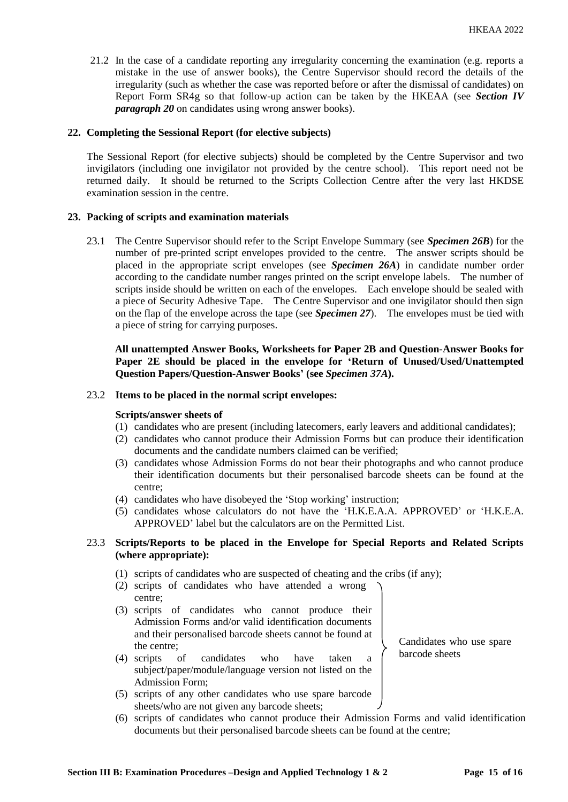21.2 In the case of a candidate reporting any irregularity concerning the examination (e.g. reports a mistake in the use of answer books), the Centre Supervisor should record the details of the irregularity (such as whether the case was reported before or after the dismissal of candidates) on Report Form SR4g so that follow-up action can be taken by the HKEAA (see *Section IV paragraph 20* on candidates using wrong answer books).

# **22. Completing the Sessional Report (for elective subjects)**

The Sessional Report (for elective subjects) should be completed by the Centre Supervisor and two invigilators (including one invigilator not provided by the centre school). This report need not be returned daily. It should be returned to the Scripts Collection Centre after the very last HKDSE examination session in the centre.

## **23. Packing of scripts and examination materials**

23.1 The Centre Supervisor should refer to the Script Envelope Summary (see *Specimen 26B*) for the number of pre-printed script envelopes provided to the centre. The answer scripts should be placed in the appropriate script envelopes (see *Specimen 26A*) in candidate number order according to the candidate number ranges printed on the script envelope labels. The number of scripts inside should be written on each of the envelopes. Each envelope should be sealed with a piece of Security Adhesive Tape. The Centre Supervisor and one invigilator should then sign on the flap of the envelope across the tape (see *Specimen 27*). The envelopes must be tied with a piece of string for carrying purposes.

**All unattempted Answer Books, Worksheets for Paper 2B and Question-Answer Books for Paper 2E should be placed in the envelope for 'Return of Unused/Used/Unattempted Question Papers/Question-Answer Books' (see** *Specimen 37A***).**

#### 23.2 **Items to be placed in the normal script envelopes:**

#### **Scripts/answer sheets of**

- (1) candidates who are present (including latecomers, early leavers and additional candidates);
- (2) candidates who cannot produce their Admission Forms but can produce their identification documents and the candidate numbers claimed can be verified;
- (3) candidates whose Admission Forms do not bear their photographs and who cannot produce their identification documents but their personalised barcode sheets can be found at the centre;
- (4) candidates who have disobeyed the 'Stop working' instruction;
- (5) candidates whose calculators do not have the 'H.K.E.A.A. APPROVED' or 'H.K.E.A. APPROVED' label but the calculators are on the Permitted List.

# 23.3 **Scripts/Reports to be placed in the Envelope for Special Reports and Related Scripts (where appropriate):**

- (1) scripts of candidates who are suspected of cheating and the cribs (if any);
- (2) scripts of candidates who have attended a wrong centre;
- (3) scripts of candidates who cannot produce their Admission Forms and/or valid identification documents and their personalised barcode sheets cannot be found at the centre;
- (4) scripts of candidates who have taken a subject/paper/module/language version not listed on the Admission Form;
- (5) scripts of any other candidates who use spare barcode sheets/who are not given any barcode sheets;
- Candidates who use spare barcode sheets
- (6) scripts of candidates who cannot produce their Admission Forms and valid identification documents but their personalised barcode sheets can be found at the centre;